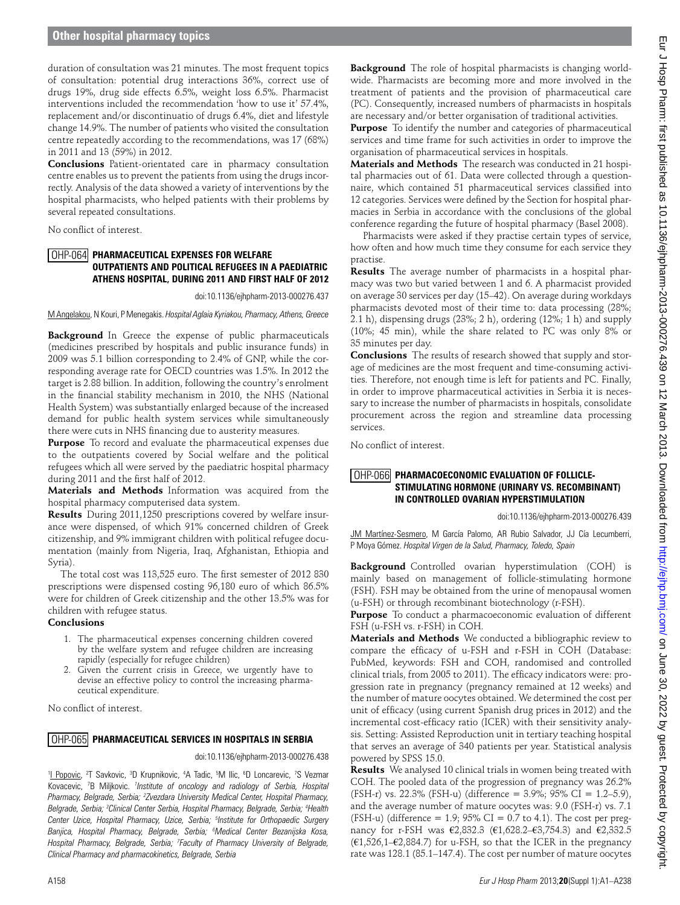duration of consultation was 21 minutes. The most frequent topics of consultation: potential drug interactions 36%, correct use of drugs 19%, drug side effects 6.5%, weight loss 6.5%. Pharmacist interventions included the recommendation 'how to use it' 57.4%, replacement and/or discontinuatio of drugs 6.4%, diet and lifestyle change 14.9%. The number of patients who visited the consultation centre repeatedly according to the recommendations, was 17 (68%) in 2011 and 13 (59%) in 2012.

**Conclusions** Patient-orientated care in pharmacy consultation centre enables us to prevent the patients from using the drugs incorrectly. Analysis of the data showed a variety of interventions by the hospital pharmacists, who helped patients with their problems by several repeated consultations.

No conflict of interest.

#### **Pharmaceutical Expenses For Welfare**  OHP-064 **Outpatients and Political Refugees in a Paediatric Athens Hospital, During 2011 and First Half of 2012**

doi:10.1136/ejhpharm-2013-000276.437

M Angelakou, N Kouri, P Menegakis. *Hospital Aglaia Kyriakou, Pharmacy, Athens, Greece* 

**Background** In Greece the expense of public pharmaceuticals (medicines prescribed by hospitals and public insurance funds) in 2009 was 5.1 billion corresponding to 2.4% of GNP, while the corresponding average rate for OECD countries was 1.5%. In 2012 the target is 2.88 billion. In addition, following the country's enrolment in the financial stability mechanism in 2010, the NHS (National Health System) was substantially enlarged because of the increased demand for public health system services while simultaneously there were cuts in NHS financing due to austerity measures.

**Purpose** To record and evaluate the pharmaceutical expenses due to the outpatients covered by Social welfare and the political refugees which all were served by the paediatric hospital pharmacy during 2011 and the first half of 2012.

**Materials and Methods** Information was acquired from the hospital pharmacy computerised data system.

**Results** During 2011,1250 prescriptions covered by welfare insurance were dispensed, of which 91% concerned children of Greek citizenship, and 9% immigrant children with political refugee documentation (mainly from Nigeria, Iraq, Afghanistan, Ethiopia and Syria).

The total cost was 113,525 euro. The first semester of 2012 830 prescriptions were dispensed costing 96,180 euro of which 86.5% were for children of Greek citizenship and the other 13.5% was for children with refugee status.

### **Conclusions**

- 1. The pharmaceutical expenses concerning children covered by the welfare system and refugee children are increasing rapidly (especially for refugee children)
- 2. Given the current crisis in Greece, we urgently have to devise an effective policy to control the increasing pharmaceutical expenditure.

No conflict of interest.

# OHP-065 PHARMACEUTICAL SERVICES IN HOSPITALS IN SERBIA

doi:10.1136/ejhpharm-2013-000276.438

<sup>1</sup>I Popovic, <sup>2</sup>T Savkovic, <sup>3</sup>D Krupnikovic, <sup>4</sup>A Tadic, <sup>5</sup>M Ilic, <sup>6</sup>D Loncarevic, <sup>7</sup>S Vezmar Kovacevic, 7 B Miljkovic. *<sup>1</sup> Institute of oncology and radiology of Serbia, Hospital*  Pharmacy, Belgrade, Serbia; <sup>2</sup>Zvezdara University Medical Center, Hospital Pharmacy, *Belgrade, Serbia; 3 Clinical Center Serbia, Hospital Pharmacy, Belgrade, Serbia; 4 Health Center Uzice, Hospital Pharmacy, Uzice, Serbia; 5 Institute for Orthopaedic Surgery Banjica, Hospital Pharmacy, Belgrade, Serbia; 6 Medical Center Bezanijska Kosa, Hospital Pharmacy, Belgrade, Serbia; 7 Faculty of Pharmacy University of Belgrade, Clinical Pharmacy and pharmacokinetics, Belgrade, Serbia* 

**Background** The role of hospital pharmacists is changing worldwide. Pharmacists are becoming more and more involved in the treatment of patients and the provision of pharmaceutical care (PC). Consequently, increased numbers of pharmacists in hospitals are necessary and/or better organisation of traditional activities.

**Purpose** To identify the number and categories of pharmaceutical services and time frame for such activities in order to improve the organisation of pharmaceutical services in hospitals.

**Materials and Methods** The research was conducted in 21 hospital pharmacies out of 61. Data were collected through a questionnaire, which contained 51 pharmaceutical services classified into 12 categories. Services were defined by the Section for hospital pharmacies in Serbia in accordance with the conclusions of the global conference regarding the future of hospital pharmacy (Basel 2008).

Pharmacists were asked if they practise certain types of service, how often and how much time they consume for each service they practise.

**Results** The average number of pharmacists in a hospital pharmacy was two but varied between 1 and 6. A pharmacist provided on average 30 services per day (15–42). On average during workdays pharmacists devoted most of their time to: data processing (28%; 2.1 h), dispensing drugs (23%; 2 h), ordering (12%; 1 h) and supply (10%; 45 min), while the share related to PC was only 8% or 35 minutes per day.

**Conclusions** The results of research showed that supply and storage of medicines are the most frequent and time-consuming activities. Therefore, not enough time is left for patients and PC. Finally, in order to improve pharmaceutical activities in Serbia it is necessary to increase the number of pharmacists in hospitals, consolidate procurement across the region and streamline data processing services.

No conflict of interest.

## OHP-066 PHARMACOECONOMIC EVALUATION OF FOLLICLE-**Stimulating Hormone (Urinary Vs. Recombinant) in Controlled Ovarian Hyperstimulation**

doi:10.1136/ejhpharm-2013-000276.439

JM Martínez-Sesmero, M García Palomo, AR Rubio Salvador, JJ Cía Lecumberri, P Moya Gómez. *Hospital Virgen de la Salud, Pharmacy, Toledo, Spain* 

**Background** Controlled ovarian hyperstimulation (COH) is mainly based on management of follicle-stimulating hormone (FSH). FSH may be obtained from the urine of menopausal women (u-FSH) or through recombinant biotechnology (r-FSH).

**Purpose** To conduct a pharmacoeconomic evaluation of different FSH (u-FSH vs. r-FSH) in COH.

**Materials and Methods** We conducted a bibliographic review to compare the efficacy of u-FSH and r-FSH in COH (Database: PubMed, keywords: FSH and COH, randomised and controlled clinical trials, from 2005 to 2011). The efficacy indicators were: progression rate in pregnancy (pregnancy remained at 12 weeks) and the number of mature oocytes obtained. We determined the cost per unit of efficacy (using current Spanish drug prices in 2012) and the incremental cost-efficacy ratio (ICER) with their sensitivity analysis. Setting: Assisted Reproduction unit in tertiary teaching hospital that serves an average of 340 patients per year. Statistical analysis powered by SPSS 15.0.

**Results** We analysed 10 clinical trials in women being treated with COH. The pooled data of the progression of pregnancy was 26.2% (FSH-r) vs. 22.3% (FSH-u) (difference = 3.9%; 95% CI = 1.2–5.9), and the average number of mature oocytes was: 9.0 (FSH-r) vs. 7.1 (FSH-u) (difference = 1.9;  $95\%$  CI = 0.7 to 4.1). The cost per pregnancy for r-FSH was €2,832.3 (€1,628.2–€3,754.3) and €2,332.5 (€1,526,1–€2,884.7) for u-FSH, so that the ICER in the pregnancy rate was 128.1 (85.1–147.4). The cost per number of mature oocytes